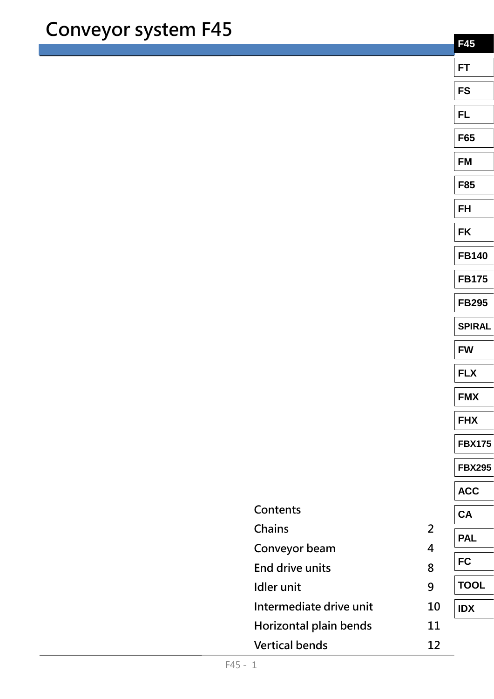|                         |                | <b>F45</b>    |
|-------------------------|----------------|---------------|
|                         |                | <b>FT</b>     |
|                         |                | <b>FS</b>     |
|                         |                | FL            |
|                         |                | F65           |
|                         |                | <b>FM</b>     |
|                         |                | <b>F85</b>    |
|                         |                | <b>FH</b>     |
|                         |                | <b>FK</b>     |
|                         |                | <b>FB140</b>  |
|                         |                | <b>FB175</b>  |
|                         |                | <b>FB295</b>  |
|                         |                | <b>SPIRAL</b> |
|                         |                | <b>FW</b>     |
|                         |                | <b>FLX</b>    |
|                         |                | <b>FMX</b>    |
|                         |                | <b>FHX</b>    |
|                         |                | <b>FBX175</b> |
|                         |                | <b>FBX295</b> |
|                         |                | <b>ACC</b>    |
| Contents                |                | <b>CA</b>     |
| Chains                  | $\overline{2}$ | <b>PAL</b>    |
| Conveyor beam           | 4              | <b>FC</b>     |
| End drive units         | 8              |               |
| <b>Idler</b> unit       | 9              | <b>TOOL</b>   |
| Intermediate drive unit | 10             | <b>IDX</b>    |
| Horizontal plain bends  | 11             |               |
| <b>Vertical bends</b>   | 12             |               |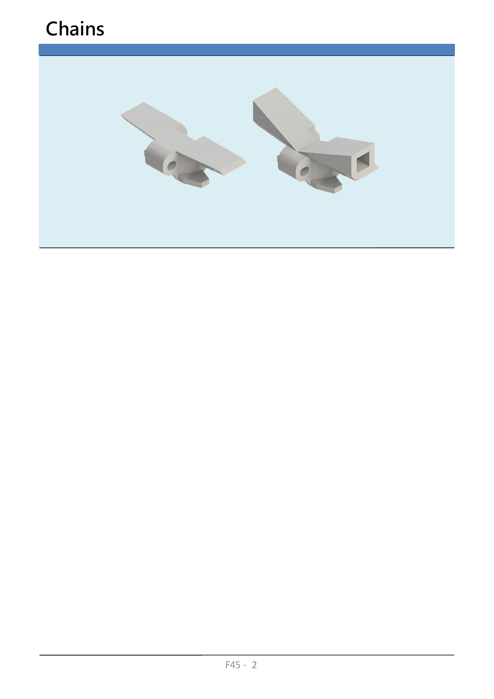### **Chains**

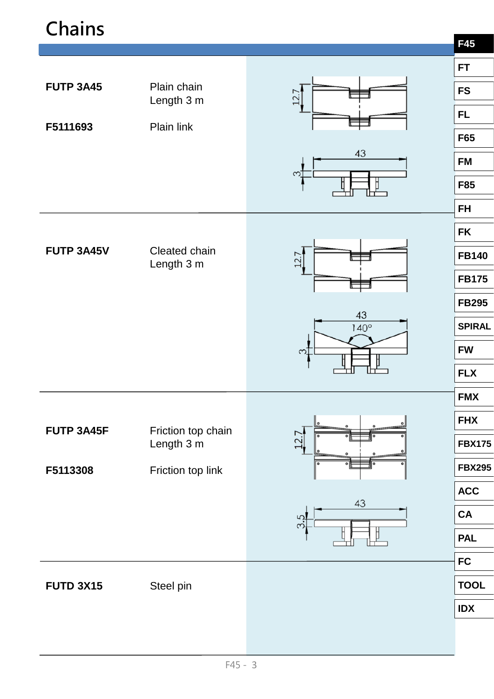### **Chains**

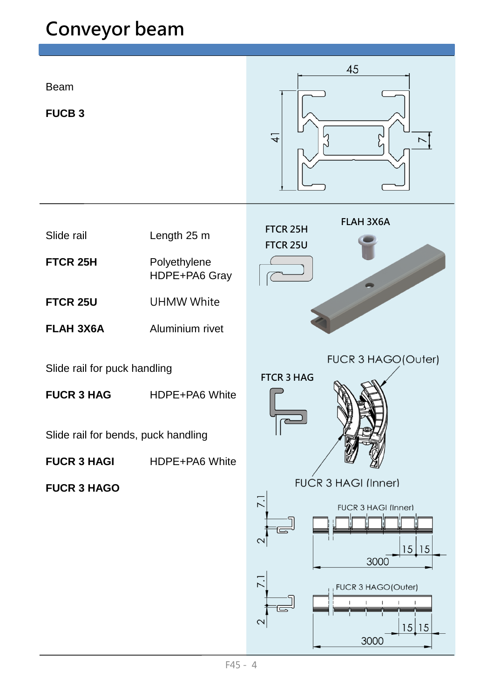Beam

**FUCB 3**



- Slide rail Length 25 m
- **FTCR 25H** Polyethylene HDPE+PA6 Gray
- **FTCR 25U** UHMW White
- **FLAH 3X6A** Aluminium rivet

Slide rail for puck handling

**FUCR 3 HAG** HDPE+PA6 White

Slide rail for bends, puck handling

**FUCR 3 HAGI** HDPE+PA6 White

**FUCR 3 HAGO**

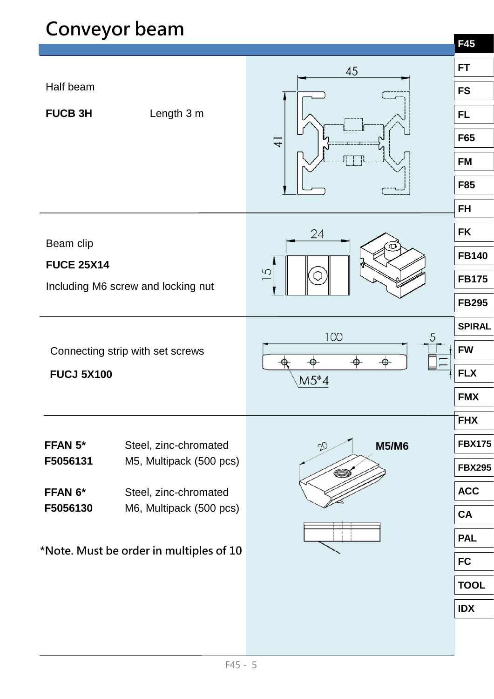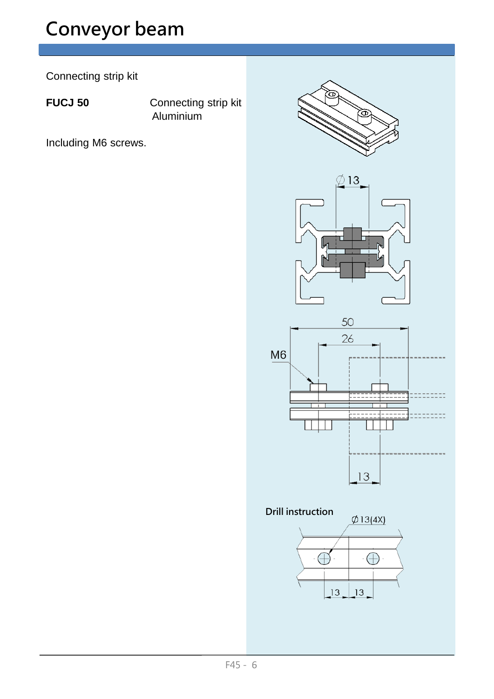Connecting strip kit

FUCJ 50 **Connecting strip kit** Aluminium

Including M6 screws.

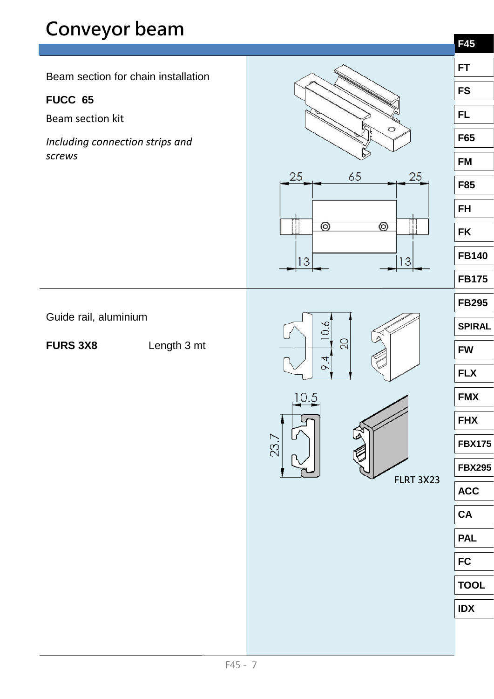**F45 FT** Beam section for chain installation **FS FUCC 65 FL** Beam section kit **F65** *Including connection strips and screws* **FM**  $25$ 65 25 **F85 FH** ⊚  $\circledcirc$ **FK FB140**  $13$  $13$ **FB175 FB295** Guide rail, aluminium  $10.6$ **SPIRAL** 20 **FURS 3X8** Length 3 mt **FW**  $6.4$ **FLX** 10.5 **FMX FHX FBX175 FBX295 FLRT 3X23 ACC CA PAL**

**FC**

**TOOL**

**IDX**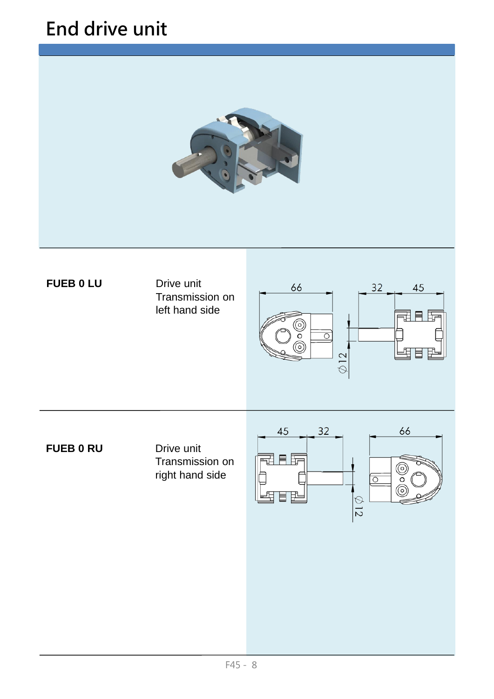### **End drive unit**



### **FUEB 0 LU** Drive unit

### Transmission on left hand side



**FUEB 0 RU** Drive unit

Transmission on right hand side

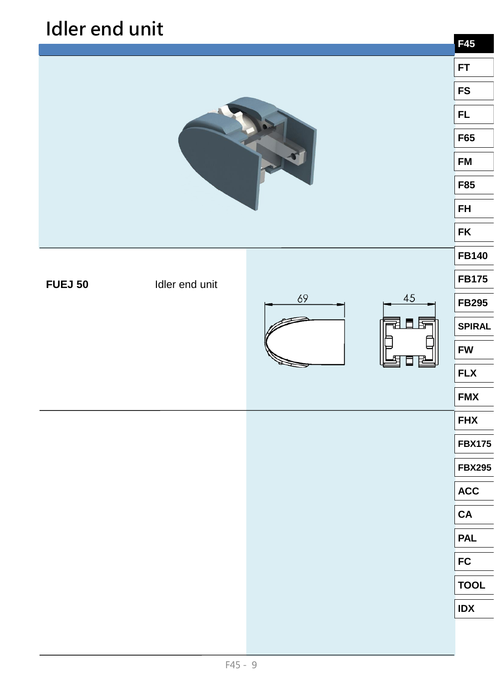### **Idler end unit**

|                |                |  |              | <b>F45</b>    |
|----------------|----------------|--|--------------|---------------|
|                |                |  |              | <b>FT</b>     |
|                |                |  |              | <b>FS</b>     |
|                |                |  |              | FL.           |
|                |                |  |              | F65           |
|                |                |  |              | <b>FM</b>     |
|                |                |  |              | <b>F85</b>    |
|                |                |  |              | <b>FH</b>     |
|                |                |  |              | <b>FK</b>     |
|                |                |  |              | <b>FB140</b>  |
| <b>FUEJ 50</b> | Idler end unit |  |              | <b>FB175</b>  |
|                | $45\,$<br>69   |  | <b>FB295</b> |               |
|                |                |  | 벜<br>目 臣     | <b>SPIRAL</b> |
|                |                |  |              | <b>FW</b>     |
|                |                |  |              | <b>FLX</b>    |
|                |                |  |              | <b>FMX</b>    |
|                |                |  |              | <b>FHX</b>    |
|                |                |  |              | <b>FBX175</b> |
|                |                |  |              | <b>FBX295</b> |
|                |                |  |              | <b>ACC</b>    |
|                |                |  |              | ${\bf CA}$    |
|                |                |  |              | <b>PAL</b>    |
|                |                |  |              | <b>FC</b>     |
|                |                |  |              | <b>TOOL</b>   |
|                |                |  |              | <b>IDX</b>    |
|                |                |  |              |               |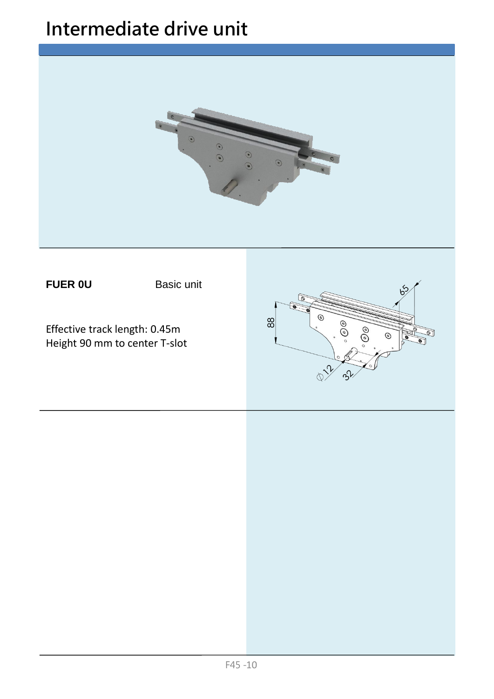### **Intermediate drive unit**

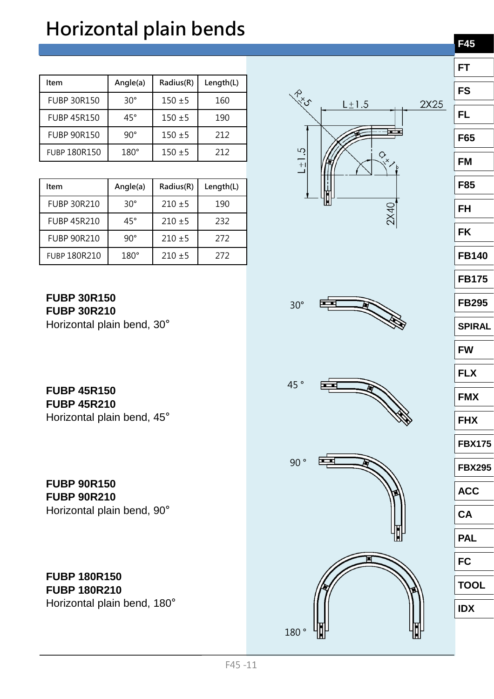# **Horizontal plain bends**

| Item                | Angle(a)     | Radius(R)   | Length(L) |
|---------------------|--------------|-------------|-----------|
| <b>FUBP 30R150</b>  | $30^{\circ}$ | $150 + 5$   | 160       |
| <b>FUBP 45R150</b>  | $45^{\circ}$ | $150 \pm 5$ | 190       |
| <b>FUBP 90R150</b>  | $90^\circ$   | $150 + 5$   | 212       |
| <b>FUBP 180R150</b> | $180^\circ$  | $150 \pm 5$ | 212       |

| Item                | Angle(a)     | Radius(R)   | Length(L) |
|---------------------|--------------|-------------|-----------|
| <b>FUBP 30R210</b>  | $30^{\circ}$ | $210 \pm 5$ | 190       |
| <b>FUBP 45R210</b>  | $45^{\circ}$ | $210 \pm 5$ | 232       |
| <b>FUBP 90R210</b>  | $90^{\circ}$ | $210 \pm 5$ | 272       |
| <b>FUBP 180R210</b> | $180^\circ$  | $210 \pm 5$ | 272       |

**FUBP 30R150 FUBP 30R210**  Horizontal plain bend, 30°

**FUBP 45R150 FUBP 45R210**  Horizontal plain bend, 45°

**FUBP 90R150 FUBP 90R210**  Horizontal plain bend, 90°

**FUBP 180R150 FUBP 180R210**  Horizontal plain bend, 180°







30°





| FT            |
|---------------|
| FS            |
| FL            |
| F65           |
| FM            |
| F85           |
| FH            |
| FK            |
| <b>FB140</b>  |
| <b>FB175</b>  |
| <b>FB295</b>  |
| <b>SPIRAL</b> |
| <b>FW</b>     |
| <b>FLX</b>    |
| <b>FMX</b>    |
| <b>FHX</b>    |

**FBX175**

**FBX295**

**ACC**

**CA**

**PAL**

**FC**

**TOOL**

**IDX**

**F45**